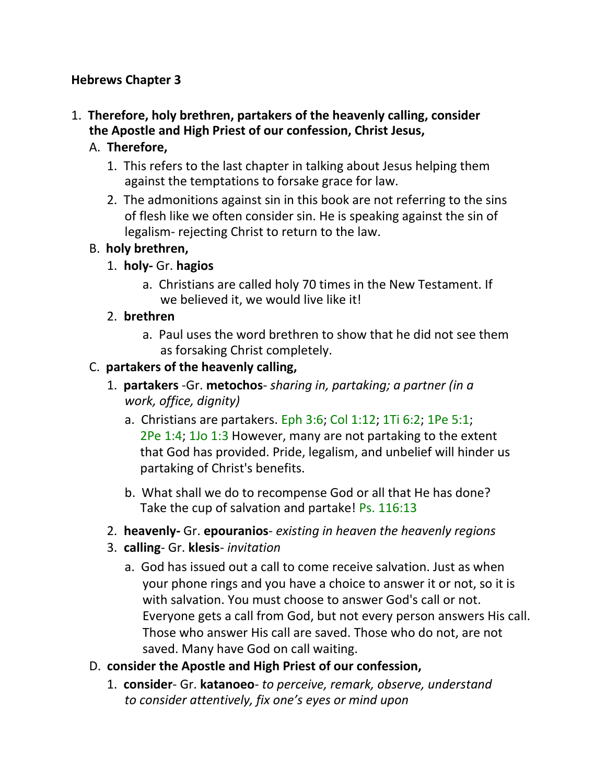### **Hebrews Chapter 3**

1. **Therefore, holy brethren, partakers of the heavenly calling, consider the Apostle and High Priest of our confession, Christ Jesus,**

# A. **Therefore,**

- 1. This refers to the last chapter in talking about Jesus helping them against the temptations to forsake grace for law.
- 2. The admonitions against sin in this book are not referring to the sins of flesh like we often consider sin. He is speaking against the sin of legalism- rejecting Christ to return to the law.

# B. **holy brethren,**

# 1. **holy-** Gr. **hagios**

a. Christians are called holy 70 times in the New Testament. If we believed it, we would live like it!

# 2. **brethren**

a. Paul uses the word brethren to show that he did not see them as forsaking Christ completely.

# C. **partakers of the heavenly calling,**

- 1. **partakers** -Gr. **metochos** *sharing in, partaking; a partner (in a work, office, dignity)*
	- a. Christians are partakers. Eph 3:6; Col 1:12; 1Ti 6:2; 1Pe 5:1; 2Pe 1:4; 1Jo 1:3 However, many are not partaking to the extent that God has provided. Pride, legalism, and unbelief will hinder us partaking of Christ's benefits.
	- b. What shall we do to recompense God or all that He has done? Take the cup of salvation and partake! Ps. 116:13
- 2. **heavenly-** Gr. **epouranios** *existing in heaven the heavenly regions*
- 3. **calling** Gr. **klesis** *invitation*
	- a. God has issued out a call to come receive salvation. Just as when your phone rings and you have a choice to answer it or not, so it is with salvation. You must choose to answer God's call or not. Everyone gets a call from God, but not every person answers His call. Those who answer His call are saved. Those who do not, are not saved. Many have God on call waiting.
- D. **consider the Apostle and High Priest of our confession,**
	- 1. **consider** Gr. **katanoeo** *to perceive, remark, observe, understand to consider attentively, fix one's eyes or mind upon*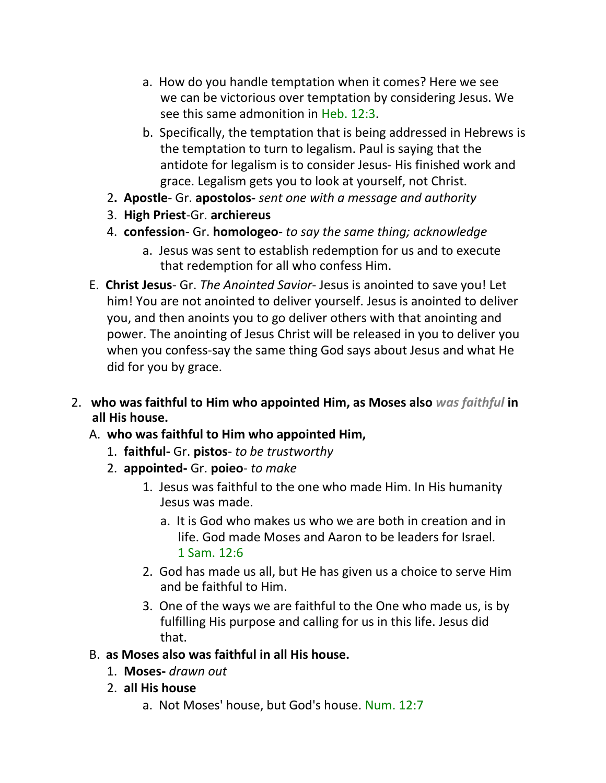- a. How do you handle temptation when it comes? Here we see we can be victorious over temptation by considering Jesus. We see this same admonition in Heb. 12:3.
- b. Specifically, the temptation that is being addressed in Hebrews is the temptation to turn to legalism. Paul is saying that the antidote for legalism is to consider Jesus- His finished work and grace. Legalism gets you to look at yourself, not Christ.
- 2**. Apostle** Gr. **apostolos-** *sent one with a message and authority*
- 3. **High Priest**-Gr. **archiereus**
- 4. **confession** Gr. **homologeo** *to say the same thing; acknowledge*
	- a. Jesus was sent to establish redemption for us and to execute that redemption for all who confess Him.
- E. **Christ Jesus** Gr. *The Anointed Savior* Jesus is anointed to save you! Let him! You are not anointed to deliver yourself. Jesus is anointed to deliver you, and then anoints you to go deliver others with that anointing and power. The anointing of Jesus Christ will be released in you to deliver you when you confess-say the same thing God says about Jesus and what He did for you by grace.
- 2. **who was faithful to Him who appointed Him, as Moses also** *was faithful* **in all His house.**
	- A. **who was faithful to Him who appointed Him,**
		- 1. **faithful-** Gr. **pistos** *to be trustworthy*
		- 2. **appointed-** Gr. **poieo** *to make*
			- 1. Jesus was faithful to the one who made Him. In His humanity Jesus was made.
				- a. It is God who makes us who we are both in creation and in life. God made Moses and Aaron to be leaders for Israel. 1 Sam. 12:6
			- 2. God has made us all, but He has given us a choice to serve Him and be faithful to Him.
			- 3. One of the ways we are faithful to the One who made us, is by fulfilling His purpose and calling for us in this life. Jesus did that.
	- B. **as Moses also was faithful in all His house.**
		- 1. **Moses-** *drawn out*
		- 2. **all His house**
			- a. Not Moses' house, but God's house. Num. 12:7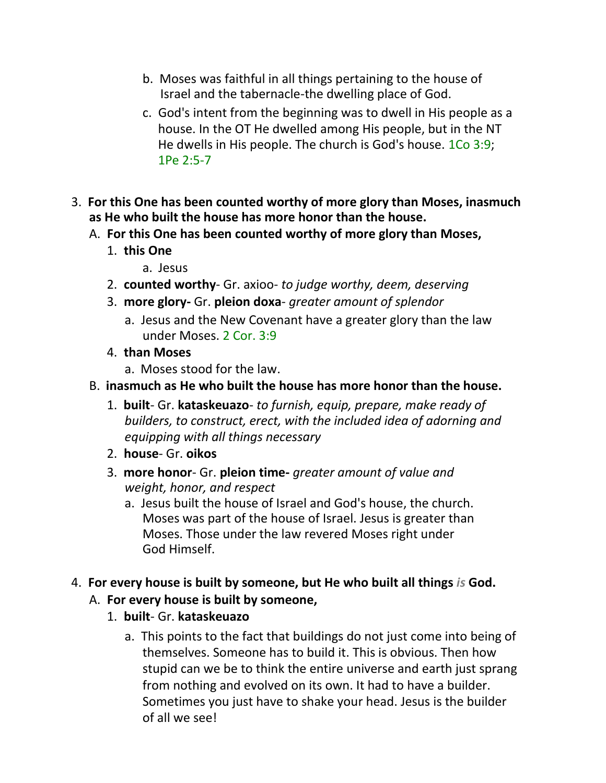- b. Moses was faithful in all things pertaining to the house of Israel and the tabernacle-the dwelling place of God.
- c. God's intent from the beginning was to dwell in His people as a house. In the OT He dwelled among His people, but in the NT He dwells in His people. The church is God's house. 1Co 3:9; 1Pe 2:5-7
- 3. **For this One has been counted worthy of more glory than Moses, inasmuch as He who built the house has more honor than the house.**
	- A. **For this One has been counted worthy of more glory than Moses,**
		- 1. **this One**
			- a. Jesus
		- 2. **counted worthy** Gr. axioo- *to judge worthy, deem, deserving*
		- 3. **more glory-** Gr. **pleion doxa** *greater amount of splendor*
			- a. Jesus and the New Covenant have a greater glory than the law under Moses. 2 Cor. 3:9
		- 4. **than Moses**
			- a. Moses stood for the law.
	- B. **inasmuch as He who built the house has more honor than the house.**
		- 1. **built** Gr. **kataskeuazo** *to furnish, equip, prepare, make ready of builders, to construct, erect, with the included idea of adorning and equipping with all things necessary*
		- 2. **house** Gr. **oikos**
		- 3. **more honor** Gr. **pleion time-** *greater amount of value and weight, honor, and respect*
			- a. Jesus built the house of Israel and God's house, the church. Moses was part of the house of Israel. Jesus is greater than Moses. Those under the law revered Moses right under God Himself.
- 4. **For every house is built by someone, but He who built all things** *is* **God.**
	- A. **For every house is built by someone,**
		- 1. **built** Gr. **kataskeuazo**
			- a. This points to the fact that buildings do not just come into being of themselves. Someone has to build it. This is obvious. Then how stupid can we be to think the entire universe and earth just sprang from nothing and evolved on its own. It had to have a builder. Sometimes you just have to shake your head. Jesus is the builder of all we see!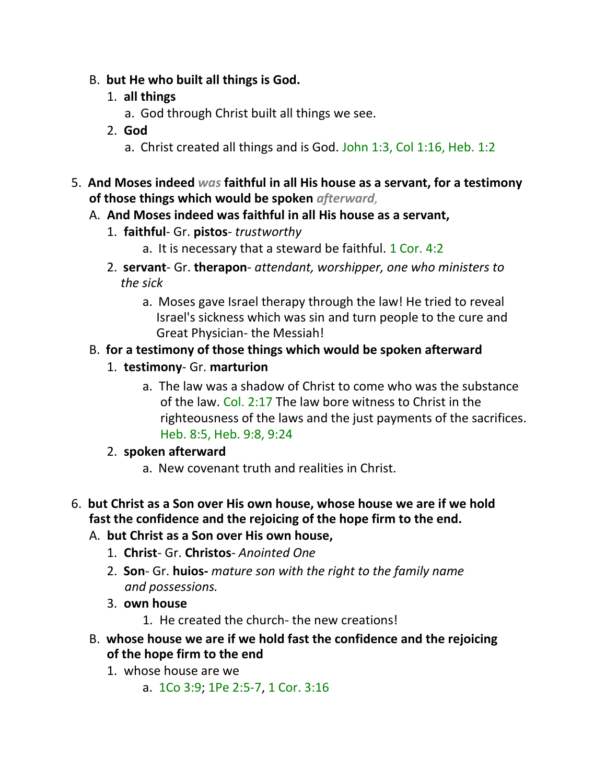- B. **but He who built all things is God.**
	- 1. **all things**
		- a. God through Christ built all things we see.
	- 2. **God**
		- a. Christ created all things and is God. John 1:3, Col 1:16, Heb. 1:2
- 5. **And Moses indeed** *was* **faithful in all His house as a servant, for a testimony of those things which would be spoken** *afterward,*
	- A. **And Moses indeed was faithful in all His house as a servant,**
		- 1. **faithful** Gr. **pistos** *trustworthy*
			- a. It is necessary that a steward be faithful. 1 Cor. 4:2
		- 2. **servant** Gr. **therapon** *attendant, worshipper, one who ministers to the sick*
			- a. Moses gave Israel therapy through the law! He tried to reveal Israel's sickness which was sin and turn people to the cure and Great Physician- the Messiah!
	- B. **for a testimony of those things which would be spoken afterward**
		- 1. **testimony** Gr. **marturion**
			- a. The law was a shadow of Christ to come who was the substance of the law. Col. 2:17 The law bore witness to Christ in the righteousness of the laws and the just payments of the sacrifices. Heb. 8:5, Heb. 9:8, 9:24

# 2. **spoken afterward**

- a. New covenant truth and realities in Christ.
- 6. **but Christ as a Son over His own house, whose house we are if we hold fast the confidence and the rejoicing of the hope firm to the end.**
	- A. **but Christ as a Son over His own house,**
		- 1. **Christ** Gr. **Christos** *Anointed One*
		- 2. **Son** Gr. **huios-** *mature son with the right to the family name and possessions.*
		- 3. **own house**
			- 1. He created the church- the new creations!
	- B. **whose house we are if we hold fast the confidence and the rejoicing of the hope firm to the end**
		- 1. whose house are we
			- a. 1Co 3:9; 1Pe 2:5-7, 1 Cor. 3:16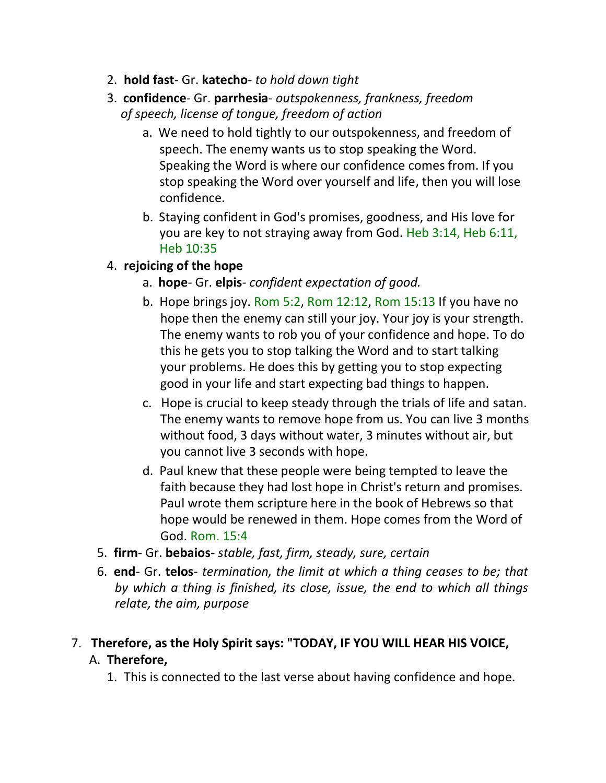- 2. **hold fast** Gr. **katecho** *to hold down tight*
- 3. **confidence** Gr. **parrhesia** *outspokenness, frankness, freedom of speech, license of tongue, freedom of action*
	- a. We need to hold tightly to our outspokenness, and freedom of speech. The enemy wants us to stop speaking the Word. Speaking the Word is where our confidence comes from. If you stop speaking the Word over yourself and life, then you will lose confidence.
	- b. Staying confident in God's promises, goodness, and His love for you are key to not straying away from God. Heb 3:14, Heb 6:11, Heb 10:35
- 4. **rejoicing of the hope**
	- a. **hope** Gr. **elpis** *confident expectation of good.*
	- b. Hope brings joy. Rom 5:2, Rom 12:12, Rom 15:13 If you have no hope then the enemy can still your joy. Your joy is your strength. The enemy wants to rob you of your confidence and hope. To do this he gets you to stop talking the Word and to start talking your problems. He does this by getting you to stop expecting good in your life and start expecting bad things to happen.
	- c. Hope is crucial to keep steady through the trials of life and satan. The enemy wants to remove hope from us. You can live 3 months without food, 3 days without water, 3 minutes without air, but you cannot live 3 seconds with hope.
	- d. Paul knew that these people were being tempted to leave the faith because they had lost hope in Christ's return and promises. Paul wrote them scripture here in the book of Hebrews so that hope would be renewed in them. Hope comes from the Word of God. Rom. 15:4
- 5. **firm** Gr. **bebaios** *stable, fast, firm, steady, sure, certain*
- 6. **end** Gr. **telos** *termination, the limit at which a thing ceases to be; that by which a thing is finished, its close, issue, the end to which all things relate, the aim, purpose*

# 7. **Therefore, as the Holy Spirit says: "TODAY, IF YOU WILL HEAR HIS VOICE,** A. **Therefore,**

1. This is connected to the last verse about having confidence and hope.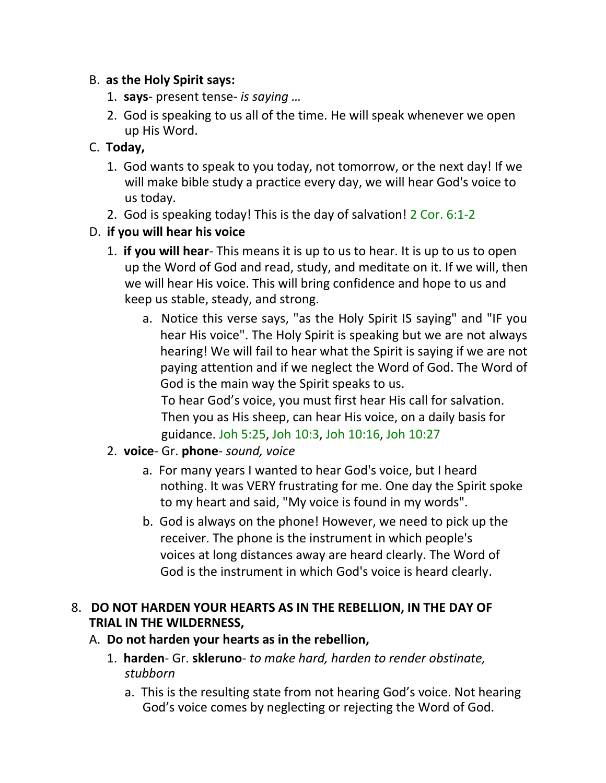## B. **as the Holy Spirit says:**

- 1. **says** present tense- *is saying …*
- 2. God is speaking to us all of the time. He will speak whenever we open up His Word.

# C. **Today,**

- 1. God wants to speak to you today, not tomorrow, or the next day! If we will make bible study a practice every day, we will hear God's voice to us today.
- 2. God is speaking today! This is the day of salvation! 2 Cor. 6:1-2

# D. **if you will hear his voice**

- 1. **if you will hear** This means it is up to us to hear. It is up to us to open up the Word of God and read, study, and meditate on it. If we will, then we will hear His voice. This will bring confidence and hope to us and keep us stable, steady, and strong.
	- a. Notice this verse says, "as the Holy Spirit IS saying" and "IF you hear His voice". The Holy Spirit is speaking but we are not always hearing! We will fail to hear what the Spirit is saying if we are not paying attention and if we neglect the Word of God. The Word of God is the main way the Spirit speaks to us.

 To hear God's voice, you must first hear His call for salvation. Then you as His sheep, can hear His voice, on a daily basis for guidance. Joh 5:25, Joh 10:3, Joh 10:16, Joh 10:27

- 2. **voice** Gr. **phone** *sound, voice*
	- a. For many years I wanted to hear God's voice, but I heard nothing. It was VERY frustrating for me. One day the Spirit spoke to my heart and said, "My voice is found in my words".
	- b. God is always on the phone! However, we need to pick up the receiver. The phone is the instrument in which people's voices at long distances away are heard clearly. The Word of God is the instrument in which God's voice is heard clearly.

# 8. **DO NOT HARDEN YOUR HEARTS AS IN THE REBELLION, IN THE DAY OF TRIAL IN THE WILDERNESS,**

- A. **Do not harden your hearts as in the rebellion,**
	- 1. **harden** Gr. **skleruno** *to make hard, harden to render obstinate, stubborn*
		- a. This is the resulting state from not hearing God's voice. Not hearing God's voice comes by neglecting or rejecting the Word of God.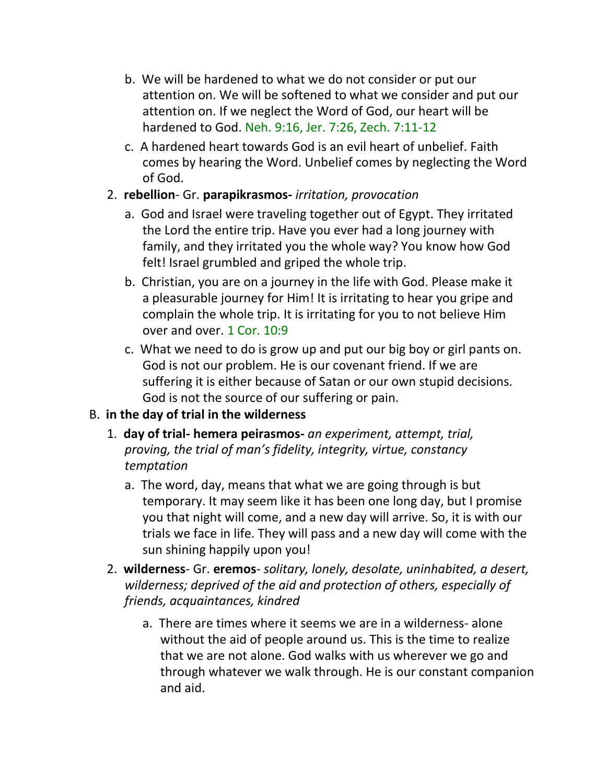- b. We will be hardened to what we do not consider or put our attention on. We will be softened to what we consider and put our attention on. If we neglect the Word of God, our heart will be hardened to God. Neh. 9:16, Jer. 7:26, Zech. 7:11-12
- c. A hardened heart towards God is an evil heart of unbelief. Faith comes by hearing the Word. Unbelief comes by neglecting the Word of God.
- 2. **rebellion** Gr. **parapikrasmos-** *irritation, provocation*
	- a. God and Israel were traveling together out of Egypt. They irritated the Lord the entire trip. Have you ever had a long journey with family, and they irritated you the whole way? You know how God felt! Israel grumbled and griped the whole trip.
	- b. Christian, you are on a journey in the life with God. Please make it a pleasurable journey for Him! It is irritating to hear you gripe and complain the whole trip. It is irritating for you to not believe Him over and over. 1 Cor. 10:9
	- c. What we need to do is grow up and put our big boy or girl pants on. God is not our problem. He is our covenant friend. If we are suffering it is either because of Satan or our own stupid decisions. God is not the source of our suffering or pain.

# B. **in the day of trial in the wilderness**

- 1. **day of trial- hemera peirasmos-** *an experiment, attempt, trial, proving, the trial of man's fidelity, integrity, virtue, constancy temptation*
	- a. The word, day, means that what we are going through is but temporary. It may seem like it has been one long day, but I promise you that night will come, and a new day will arrive. So, it is with our trials we face in life. They will pass and a new day will come with the sun shining happily upon you!
- 2. **wilderness** Gr. **eremos** *solitary, lonely, desolate, uninhabited, a desert, wilderness; deprived of the aid and protection of others, especially of friends, acquaintances, kindred*
	- a. There are times where it seems we are in a wilderness- alone without the aid of people around us. This is the time to realize that we are not alone. God walks with us wherever we go and through whatever we walk through. He is our constant companion and aid.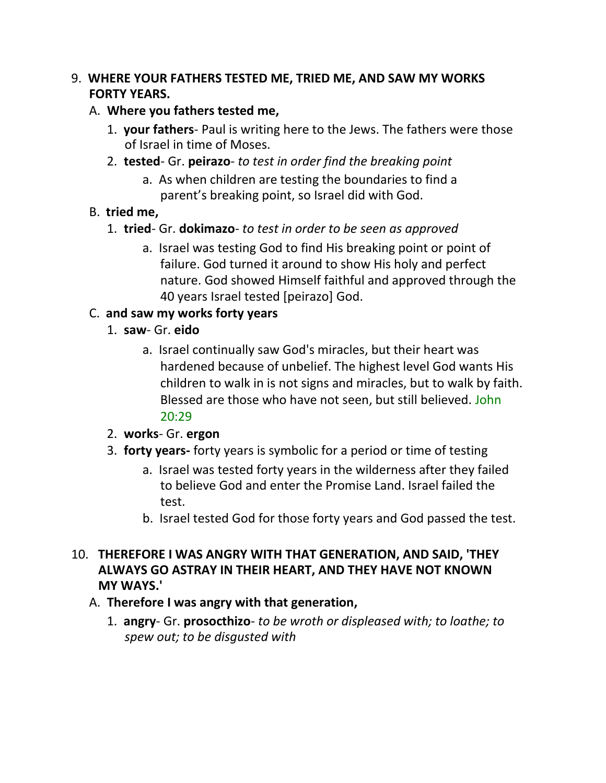### 9. **WHERE YOUR FATHERS TESTED ME, TRIED ME, AND SAW MY WORKS FORTY YEARS.**

## A. **Where you fathers tested me,**

- 1. **your fathers** Paul is writing here to the Jews. The fathers were those of Israel in time of Moses.
- 2. **tested** Gr. **peirazo** *to test in order find the breaking point*
	- a. As when children are testing the boundaries to find a parent's breaking point, so Israel did with God.

# B. **tried me,**

- 1. **tried** Gr. **dokimazo** *to test in order to be seen as approved*
	- a. Israel was testing God to find His breaking point or point of failure. God turned it around to show His holy and perfect nature. God showed Himself faithful and approved through the 40 years Israel tested [peirazo] God.

# C. **and saw my works forty years**

- 1. **saw** Gr. **eido**
	- a. Israel continually saw God's miracles, but their heart was hardened because of unbelief. The highest level God wants His children to walk in is not signs and miracles, but to walk by faith. Blessed are those who have not seen, but still believed. John 20:29

# 2. **works**- Gr. **ergon**

- 3. **forty years-** forty years is symbolic for a period or time of testing
	- a. Israel was tested forty years in the wilderness after they failed to believe God and enter the Promise Land. Israel failed the test.
	- b. Israel tested God for those forty years and God passed the test.
- 10. **THEREFORE I WAS ANGRY WITH THAT GENERATION, AND SAID, 'THEY ALWAYS GO ASTRAY IN THEIR HEART, AND THEY HAVE NOT KNOWN MY WAYS.'**
	- A. **Therefore I was angry with that generation,**
		- 1. **angry** Gr. **prosocthizo** *to be wroth or displeased with; to loathe; to spew out; to be disgusted with*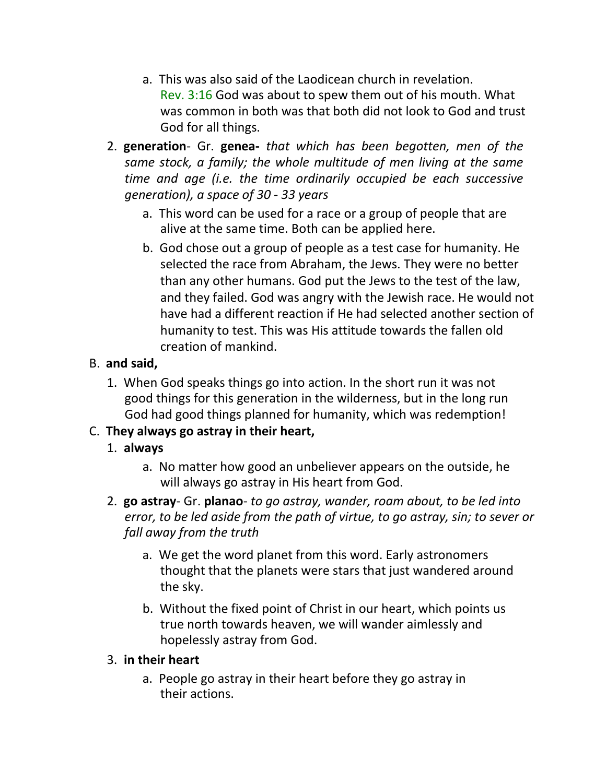- a. This was also said of the Laodicean church in revelation. Rev. 3:16 God was about to spew them out of his mouth. What was common in both was that both did not look to God and trust God for all things.
- 2. **generation** Gr. **genea-** *that which has been begotten, men of the same stock, a family; the whole multitude of men living at the same time and age (i.e. the time ordinarily occupied be each successive generation), a space of 30 - 33 years*
	- a. This word can be used for a race or a group of people that are alive at the same time. Both can be applied here.
	- b. God chose out a group of people as a test case for humanity. He selected the race from Abraham, the Jews. They were no better than any other humans. God put the Jews to the test of the law, and they failed. God was angry with the Jewish race. He would not have had a different reaction if He had selected another section of humanity to test. This was His attitude towards the fallen old creation of mankind.

# B. **and said,**

1. When God speaks things go into action. In the short run it was not good things for this generation in the wilderness, but in the long run God had good things planned for humanity, which was redemption!

# C. **They always go astray in their heart,**

- 1. **always**
	- a. No matter how good an unbeliever appears on the outside, he will always go astray in His heart from God.
- 2. **go astray** Gr. **planao** *to go astray, wander, roam about, to be led into error, to be led aside from the path of virtue, to go astray, sin; to sever or fall away from the truth*
	- a. We get the word planet from this word. Early astronomers thought that the planets were stars that just wandered around the sky.
	- b. Without the fixed point of Christ in our heart, which points us true north towards heaven, we will wander aimlessly and hopelessly astray from God.

# 3. **in their heart**

a. People go astray in their heart before they go astray in their actions.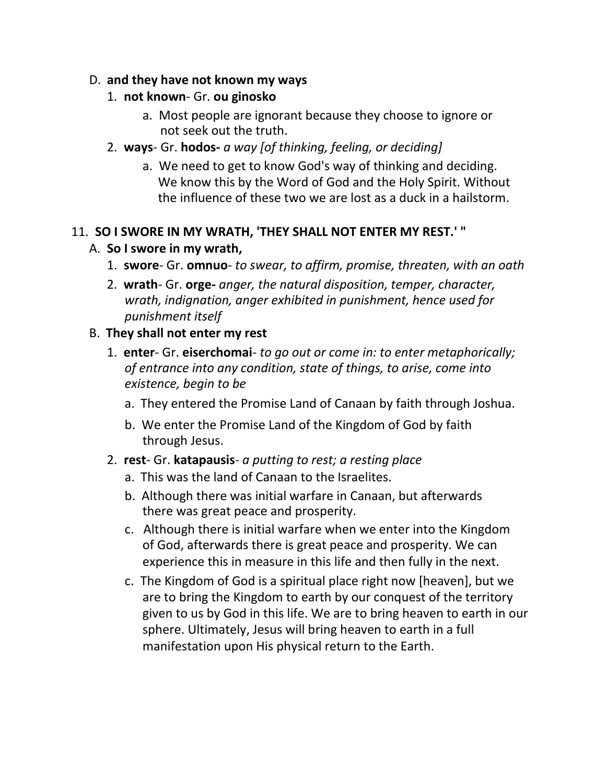#### D. **and they have not known my ways**

### 1. **not known**- Gr. **ou ginosko**

- a. Most people are ignorant because they choose to ignore or not seek out the truth.
- 2. **ways** Gr. **hodos-** *a way [of thinking, feeling, or deciding]*
	- a. We need to get to know God's way of thinking and deciding. We know this by the Word of God and the Holy Spirit. Without the influence of these two we are lost as a duck in a hailstorm.

# 11. **SO I SWORE IN MY WRATH, 'THEY SHALL NOT ENTER MY REST.' "**

## A. **So I swore in my wrath,**

- 1. **swore** Gr. **omnuo** *to swear, to affirm, promise, threaten, with an oath*
- 2. **wrath** Gr. **orge-** *anger, the natural disposition, temper, character, wrath, indignation, anger exhibited in punishment, hence used for punishment itself*

## B. **They shall not enter my rest**

- 1. **enter** Gr. **eiserchomai** *to go out or come in: to enter metaphorically; of entrance into any condition, state of things, to arise, come into existence, begin to be*
	- a. They entered the Promise Land of Canaan by faith through Joshua.
	- b. We enter the Promise Land of the Kingdom of God by faith through Jesus.
- 2. **rest** Gr. **katapausis** *a putting to rest; a resting place*
	- a. This was the land of Canaan to the Israelites.
	- b. Although there was initial warfare in Canaan, but afterwards there was great peace and prosperity.
	- c. Although there is initial warfare when we enter into the Kingdom of God, afterwards there is great peace and prosperity. We can experience this in measure in this life and then fully in the next.
	- c. The Kingdom of God is a spiritual place right now [heaven], but we are to bring the Kingdom to earth by our conquest of the territory given to us by God in this life. We are to bring heaven to earth in our sphere. Ultimately, Jesus will bring heaven to earth in a full manifestation upon His physical return to the Earth.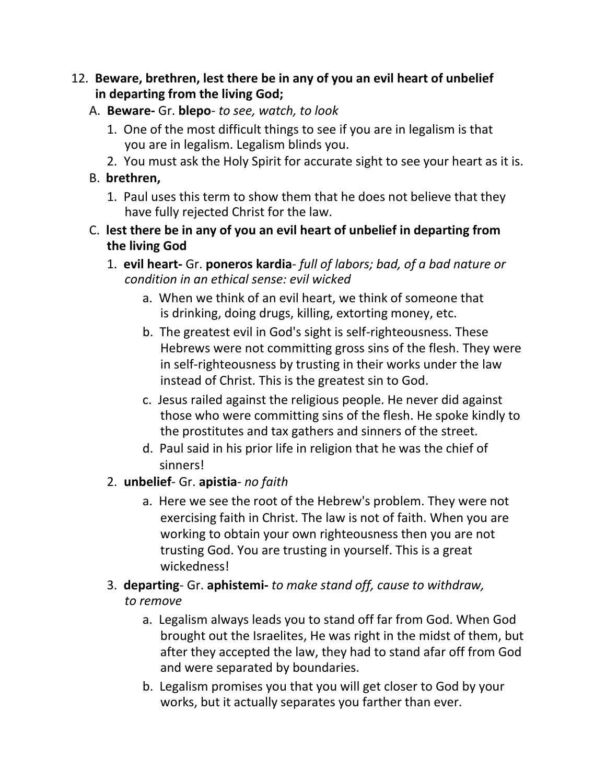### 12. **Beware, brethren, lest there be in any of you an evil heart of unbelief in departing from the living God;**

### A. **Beware-** Gr. **blepo**- *to see, watch, to look*

- 1. One of the most difficult things to see if you are in legalism is that you are in legalism. Legalism blinds you.
- 2. You must ask the Holy Spirit for accurate sight to see your heart as it is.

## B. **brethren,**

- 1. Paul uses this term to show them that he does not believe that they have fully rejected Christ for the law.
- C. **lest there be in any of you an evil heart of unbelief in departing from the living God**
	- 1. **evil heart-** Gr. **poneros kardia** *full of labors; bad, of a bad nature or condition in an ethical sense: evil wicked*
		- a. When we think of an evil heart, we think of someone that is drinking, doing drugs, killing, extorting money, etc.
		- b. The greatest evil in God's sight is self-righteousness. These Hebrews were not committing gross sins of the flesh. They were in self-righteousness by trusting in their works under the law instead of Christ. This is the greatest sin to God.
		- c. Jesus railed against the religious people. He never did against those who were committing sins of the flesh. He spoke kindly to the prostitutes and tax gathers and sinners of the street.
		- d. Paul said in his prior life in religion that he was the chief of sinners!

# 2. **unbelief**- Gr. **apistia**- *no faith*

a. Here we see the root of the Hebrew's problem. They were not exercising faith in Christ. The law is not of faith. When you are working to obtain your own righteousness then you are not trusting God. You are trusting in yourself. This is a great wickedness!

# 3. **departing**- Gr. **aphistemi-** *to make stand off, cause to withdraw, to remove*

- a. Legalism always leads you to stand off far from God. When God brought out the Israelites, He was right in the midst of them, but after they accepted the law, they had to stand afar off from God and were separated by boundaries.
- b. Legalism promises you that you will get closer to God by your works, but it actually separates you farther than ever.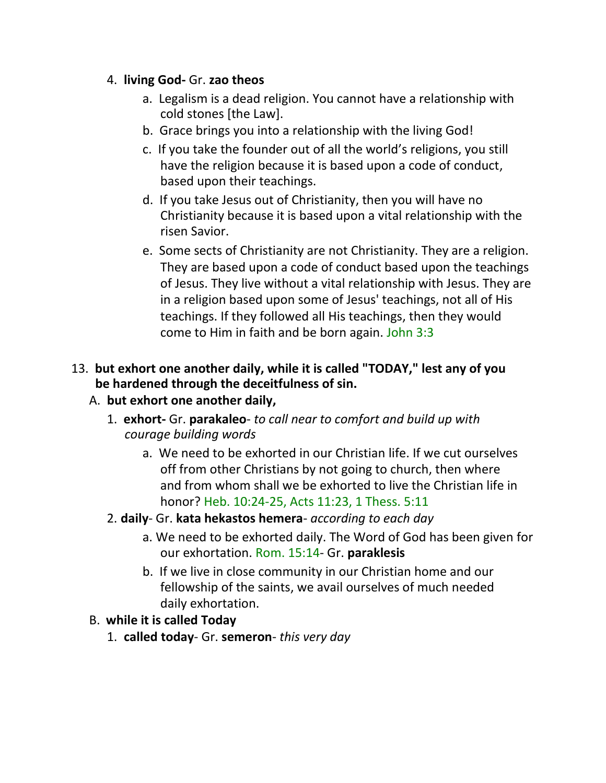### 4. **living God-** Gr. **zao theos**

- a. Legalism is a dead religion. You cannot have a relationship with cold stones [the Law].
- b. Grace brings you into a relationship with the living God!
- c. If you take the founder out of all the world's religions, you still have the religion because it is based upon a code of conduct, based upon their teachings.
- d. If you take Jesus out of Christianity, then you will have no Christianity because it is based upon a vital relationship with the risen Savior.
- e. Some sects of Christianity are not Christianity. They are a religion. They are based upon a code of conduct based upon the teachings of Jesus. They live without a vital relationship with Jesus. They are in a religion based upon some of Jesus' teachings, not all of His teachings. If they followed all His teachings, then they would come to Him in faith and be born again. John 3:3

# 13. **but exhort one another daily, while it is called "TODAY," lest any of you be hardened through the deceitfulness of sin.**

# A. **but exhort one another daily,**

- 1. **exhort-** Gr. **parakaleo** *to call near to comfort and build up with courage building words*
	- a. We need to be exhorted in our Christian life. If we cut ourselves off from other Christians by not going to church, then where and from whom shall we be exhorted to live the Christian life in honor? Heb. 10:24-25, Acts 11:23, 1 Thess. 5:11

### 2. **daily**- Gr. **kata hekastos hemera**- *according to each day*

- a. We need to be exhorted daily. The Word of God has been given for our exhortation. Rom. 15:14- Gr. **paraklesis**
- b. If we live in close community in our Christian home and our fellowship of the saints, we avail ourselves of much needed daily exhortation.

# B. **while it is called Today**

1. **called today**- Gr. **semeron**- *this very day*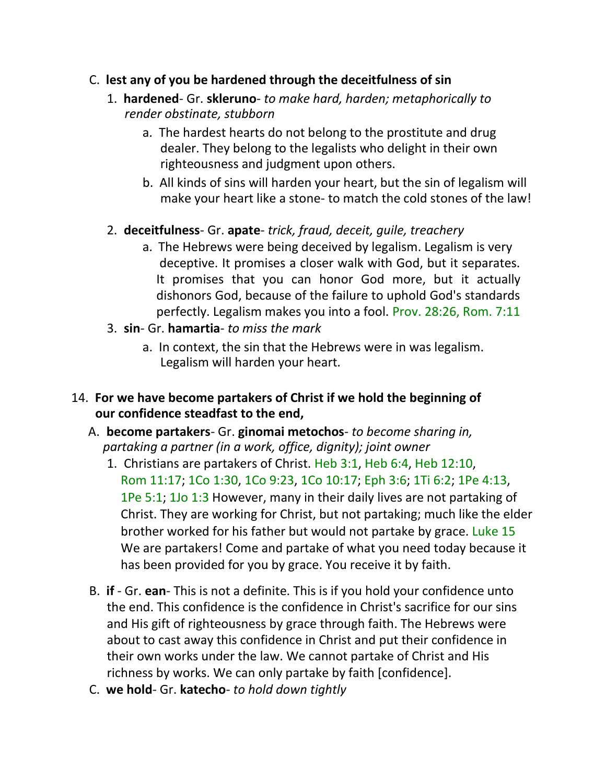### C. **lest any of you be hardened through the deceitfulness of sin**

- 1. **hardened** Gr. **skleruno** *to make hard, harden; metaphorically to render obstinate, stubborn*
	- a. The hardest hearts do not belong to the prostitute and drug dealer. They belong to the legalists who delight in their own righteousness and judgment upon others.
	- b. All kinds of sins will harden your heart, but the sin of legalism will make your heart like a stone- to match the cold stones of the law!

## 2. **deceitfulness**- Gr. **apate**- *trick, fraud, deceit, guile, treachery*

- a. The Hebrews were being deceived by legalism. Legalism is very deceptive. It promises a closer walk with God, but it separates. It promises that you can honor God more, but it actually dishonors God, because of the failure to uphold God's standards perfectly. Legalism makes you into a fool. Prov. 28:26, Rom. 7:11
- 3. **sin** Gr. **hamartia** *to miss the mark*
	- a. In context, the sin that the Hebrews were in was legalism. Legalism will harden your heart.

### 14. **For we have become partakers of Christ if we hold the beginning of our confidence steadfast to the end,**

- A. **become partakers** Gr. **ginomai metochos** *to become sharing in, partaking a partner (in a work, office, dignity); joint owner*
	- 1. Christians are partakers of Christ. Heb 3:1, Heb 6:4, Heb 12:10, Rom 11:17; 1Co 1:30, 1Co 9:23, 1Co 10:17; Eph 3:6; 1Ti 6:2; 1Pe 4:13, 1Pe 5:1; 1Jo 1:3 However, many in their daily lives are not partaking of Christ. They are working for Christ, but not partaking; much like the elder brother worked for his father but would not partake by grace. Luke 15 We are partakers! Come and partake of what you need today because it has been provided for you by grace. You receive it by faith.
- B. **if** Gr. **ean** This is not a definite. This is if you hold your confidence unto the end. This confidence is the confidence in Christ's sacrifice for our sins and His gift of righteousness by grace through faith. The Hebrews were about to cast away this confidence in Christ and put their confidence in their own works under the law. We cannot partake of Christ and His richness by works. We can only partake by faith [confidence].
- C. **we hold** Gr. **katecho** *to hold down tightly*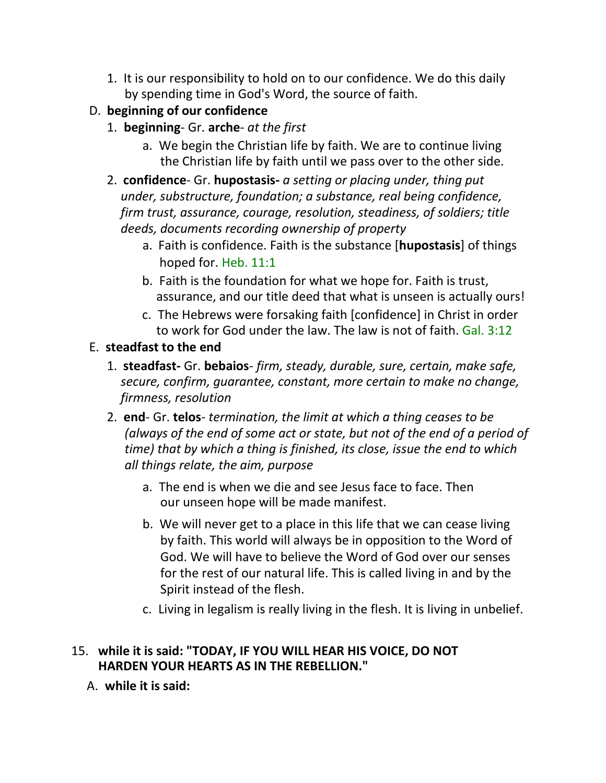- 1. It is our responsibility to hold on to our confidence. We do this daily by spending time in God's Word, the source of faith.
- D. **beginning of our confidence**
	- 1. **beginning** Gr. **arche** *at the first*
		- a. We begin the Christian life by faith. We are to continue living the Christian life by faith until we pass over to the other side.
	- 2. **confidence** Gr. **hupostasis-** *a setting or placing under, thing put under, substructure, foundation; a substance, real being confidence, firm trust, assurance, courage, resolution, steadiness, of soldiers; title deeds, documents recording ownership of property*
		- a. Faith is confidence. Faith is the substance [**hupostasis**] of things hoped for. Heb. 11:1
		- b. Faith is the foundation for what we hope for. Faith is trust, assurance, and our title deed that what is unseen is actually ours!
		- c. The Hebrews were forsaking faith [confidence] in Christ in order to work for God under the law. The law is not of faith. Gal. 3:12

# E. **steadfast to the end**

- 1. **steadfast-** Gr. **bebaios** *firm, steady, durable, sure, certain, make safe, secure, confirm, guarantee, constant, more certain to make no change, firmness, resolution*
- 2. **end** Gr. **telos** *termination, the limit at which a thing ceases to be (always of the end of some act or state, but not of the end of a period of time) that by which a thing is finished, its close, issue the end to which all things relate, the aim, purpose*
	- a. The end is when we die and see Jesus face to face. Then our unseen hope will be made manifest.
	- b. We will never get to a place in this life that we can cease living by faith. This world will always be in opposition to the Word of God. We will have to believe the Word of God over our senses for the rest of our natural life. This is called living in and by the Spirit instead of the flesh.
	- c. Living in legalism is really living in the flesh. It is living in unbelief.

# 15. **while it is said: "TODAY, IF YOU WILL HEAR HIS VOICE, DO NOT HARDEN YOUR HEARTS AS IN THE REBELLION."**

A. **while it is said:**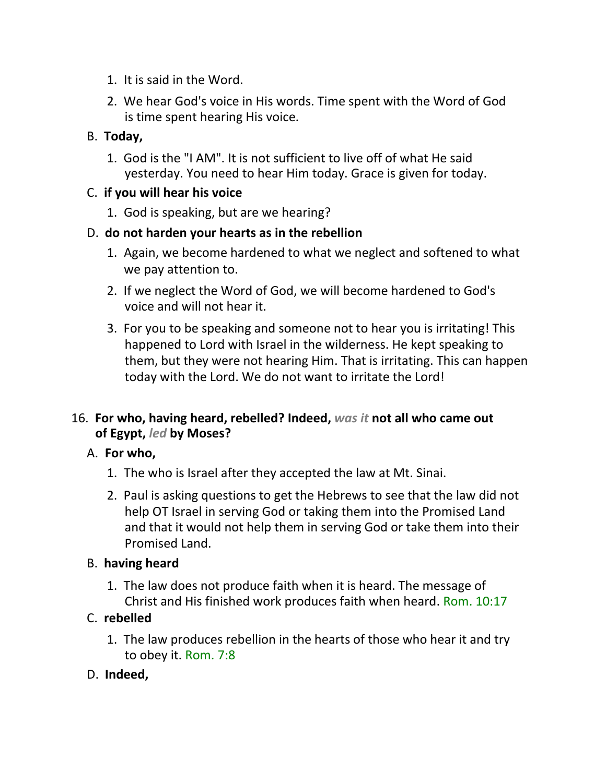- 1. It is said in the Word.
- 2. We hear God's voice in His words. Time spent with the Word of God is time spent hearing His voice.

# B. **Today,**

1. God is the "I AM". It is not sufficient to live off of what He said yesterday. You need to hear Him today. Grace is given for today.

#### C. **if you will hear his voice**

1. God is speaking, but are we hearing?

### D. **do not harden your hearts as in the rebellion**

- 1. Again, we become hardened to what we neglect and softened to what we pay attention to.
- 2. If we neglect the Word of God, we will become hardened to God's voice and will not hear it.
- 3. For you to be speaking and someone not to hear you is irritating! This happened to Lord with Israel in the wilderness. He kept speaking to them, but they were not hearing Him. That is irritating. This can happen today with the Lord. We do not want to irritate the Lord!

## 16. **For who, having heard, rebelled? Indeed,** *was it* **not all who came out of Egypt,** *led* **by Moses?**

### A. **For who,**

- 1. The who is Israel after they accepted the law at Mt. Sinai.
- 2. Paul is asking questions to get the Hebrews to see that the law did not help OT Israel in serving God or taking them into the Promised Land and that it would not help them in serving God or take them into their Promised Land.

#### B. **having heard**

1. The law does not produce faith when it is heard. The message of Christ and His finished work produces faith when heard. Rom. 10:17

### C. **rebelled**

1. The law produces rebellion in the hearts of those who hear it and try to obey it. Rom. 7:8

### D. **Indeed,**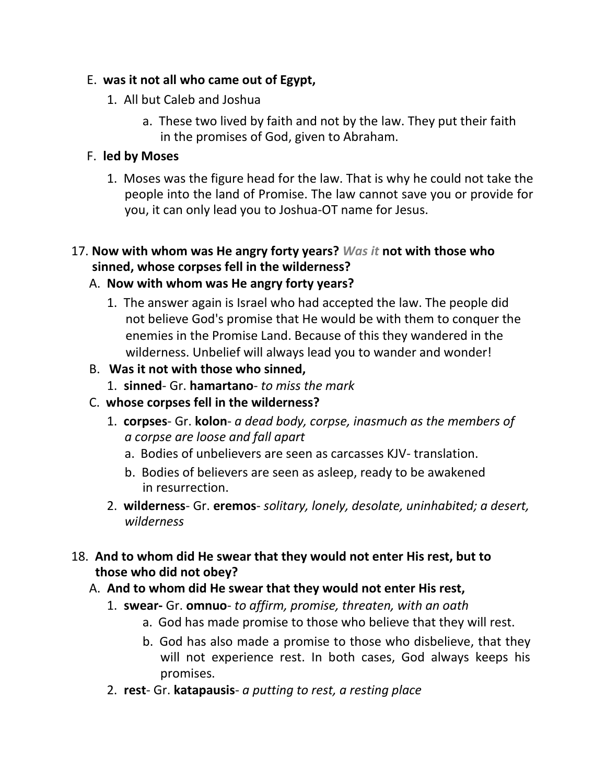## E. **was it not all who came out of Egypt,**

- 1. All but Caleb and Joshua
	- a. These two lived by faith and not by the law. They put their faith in the promises of God, given to Abraham.

## F. **led by Moses**

1. Moses was the figure head for the law. That is why he could not take the people into the land of Promise. The law cannot save you or provide for you, it can only lead you to Joshua-OT name for Jesus.

## 17. **Now with whom was He angry forty years?** *Was it* **not with those who sinned, whose corpses fell in the wilderness?**

# A. **Now with whom was He angry forty years?**

1. The answer again is Israel who had accepted the law. The people did not believe God's promise that He would be with them to conquer the enemies in the Promise Land. Because of this they wandered in the wilderness. Unbelief will always lead you to wander and wonder!

# B. **Was it not with those who sinned,**

1. **sinned**- Gr. **hamartano**- *to miss the mark*

# C. **whose corpses fell in the wilderness?**

- 1. **corpses** Gr. **kolon** *a dead body, corpse, inasmuch as the members of a corpse are loose and fall apart*
	- a. Bodies of unbelievers are seen as carcasses KJV- translation.
	- b. Bodies of believers are seen as asleep, ready to be awakened in resurrection.
- 2. **wilderness** Gr. **eremos** *solitary, lonely, desolate, uninhabited; a desert, wilderness*

## 18. **And to whom did He swear that they would not enter His rest, but to those who did not obey?**

# A. **And to whom did He swear that they would not enter His rest,**

- 1. **swear-** Gr. **omnuo** *to affirm, promise, threaten, with an oath*
	- a. God has made promise to those who believe that they will rest.
	- b. God has also made a promise to those who disbelieve, that they will not experience rest. In both cases, God always keeps his promises.
- 2. **rest** Gr. **katapausis** *a putting to rest, a resting place*